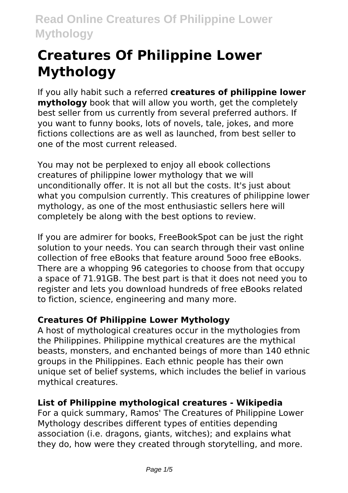# **Creatures Of Philippine Lower Mythology**

If you ally habit such a referred **creatures of philippine lower mythology** book that will allow you worth, get the completely best seller from us currently from several preferred authors. If you want to funny books, lots of novels, tale, jokes, and more fictions collections are as well as launched, from best seller to one of the most current released.

You may not be perplexed to enjoy all ebook collections creatures of philippine lower mythology that we will unconditionally offer. It is not all but the costs. It's just about what you compulsion currently. This creatures of philippine lower mythology, as one of the most enthusiastic sellers here will completely be along with the best options to review.

If you are admirer for books, FreeBookSpot can be just the right solution to your needs. You can search through their vast online collection of free eBooks that feature around 5ooo free eBooks. There are a whopping 96 categories to choose from that occupy a space of 71.91GB. The best part is that it does not need you to register and lets you download hundreds of free eBooks related to fiction, science, engineering and many more.

# **Creatures Of Philippine Lower Mythology**

A host of mythological creatures occur in the mythologies from the Philippines. Philippine mythical creatures are the mythical beasts, monsters, and enchanted beings of more than 140 ethnic groups in the Philippines. Each ethnic people has their own unique set of belief systems, which includes the belief in various mythical creatures.

# **List of Philippine mythological creatures - Wikipedia**

For a quick summary, Ramos' The Creatures of Philippine Lower Mythology describes different types of entities depending association (i.e. dragons, giants, witches); and explains what they do, how were they created through storytelling, and more.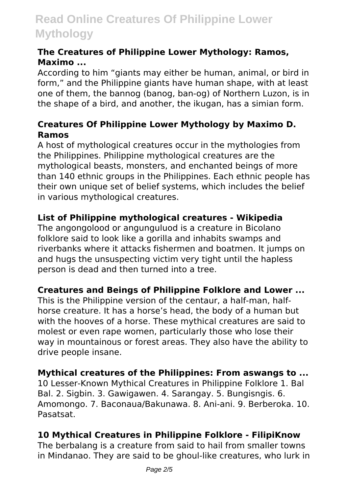#### **The Creatures of Philippine Lower Mythology: Ramos, Maximo ...**

According to him "giants may either be human, animal, or bird in form," and the Philippine giants have human shape, with at least one of them, the bannog (banog, ban-og) of Northern Luzon, is in the shape of a bird, and another, the ikugan, has a simian form.

### **Creatures Of Philippine Lower Mythology by Maximo D. Ramos**

A host of mythological creatures occur in the mythologies from the Philippines. Philippine mythological creatures are the mythological beasts, monsters, and enchanted beings of more than 140 ethnic groups in the Philippines. Each ethnic people has their own unique set of belief systems, which includes the belief in various mythological creatures.

# **List of Philippine mythological creatures - Wikipedia**

The angongolood or angunguluod is a creature in Bicolano folklore said to look like a gorilla and inhabits swamps and riverbanks where it attacks fishermen and boatmen. It jumps on and hugs the unsuspecting victim very tight until the hapless person is dead and then turned into a tree.

# **Creatures and Beings of Philippine Folklore and Lower ...**

This is the Philippine version of the centaur, a half-man, halfhorse creature. It has a horse's head, the body of a human but with the hooves of a horse. These mythical creatures are said to molest or even rape women, particularly those who lose their way in mountainous or forest areas. They also have the ability to drive people insane.

#### **Mythical creatures of the Philippines: From aswangs to ...**

10 Lesser-Known Mythical Creatures in Philippine Folklore 1. Bal Bal. 2. Sigbin. 3. Gawigawen. 4. Sarangay. 5. Bungisngis. 6. Amomongo. 7. Baconaua/Bakunawa. 8. Ani-ani. 9. Berberoka. 10. Pasatsat.

# **10 Mythical Creatures in Philippine Folklore - FilipiKnow**

The berbalang is a creature from said to hail from smaller towns in Mindanao. They are said to be ghoul-like creatures, who lurk in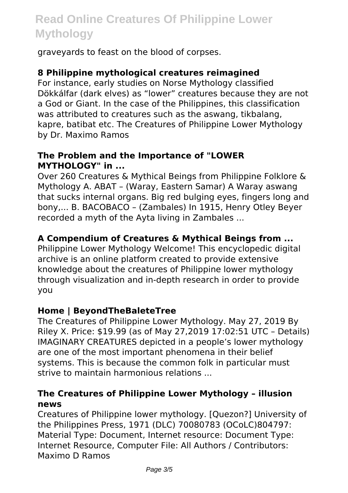graveyards to feast on the blood of corpses.

#### **8 Philippine mythological creatures reimagined**

For instance, early studies on Norse Mythology classified Dökkálfar (dark elves) as "lower" creatures because they are not a God or Giant. In the case of the Philippines, this classification was attributed to creatures such as the aswang, tikbalang, kapre, batibat etc. The Creatures of Philippine Lower Mythology by Dr. Maximo Ramos

#### **The Problem and the Importance of "LOWER MYTHOLOGY" in ...**

Over 260 Creatures & Mythical Beings from Philippine Folklore & Mythology A. ABAT – (Waray, Eastern Samar) A Waray aswang that sucks internal organs. Big red bulging eyes, fingers long and bony,... B. BACOBACO – (Zambales) In 1915, Henry Otley Beyer recorded a myth of the Ayta living in Zambales ...

### **A Compendium of Creatures & Mythical Beings from ...**

Philippine Lower Mythology Welcome! This encyclopedic digital archive is an online platform created to provide extensive knowledge about the creatures of Philippine lower mythology through visualization and in-depth research in order to provide you

#### **Home | BeyondTheBaleteTree**

The Creatures of Philippine Lower Mythology. May 27, 2019 By Riley X. Price: \$19.99 (as of May 27,2019 17:02:51 UTC – Details) IMAGINARY CREATURES depicted in a people's lower mythology are one of the most important phenomena in their belief systems. This is because the common folk in particular must strive to maintain harmonious relations ...

#### **The Creatures of Philippine Lower Mythology – illusion news**

Creatures of Philippine lower mythology. [Quezon?] University of the Philippines Press, 1971 (DLC) 70080783 (OCoLC)804797: Material Type: Document, Internet resource: Document Type: Internet Resource, Computer File: All Authors / Contributors: Maximo D Ramos